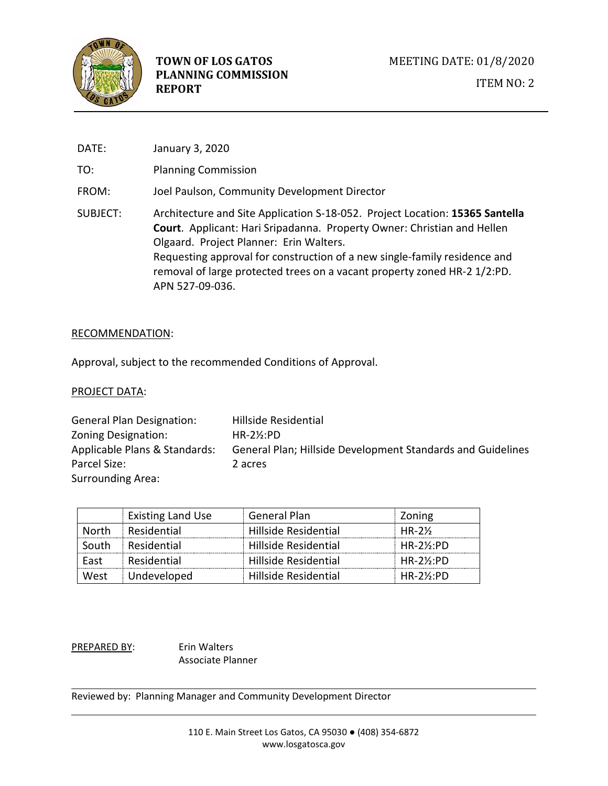

DATE: January 3, 2020 TO: Planning Commission FROM: Joel Paulson, Community Development Director SUBJECT: Architecture and Site Application S-18-052. Project Location: **15365 Santella Court**. Applicant: Hari Sripadanna. Property Owner: Christian and Hellen Olgaard. Project Planner: Erin Walters. Requesting approval for construction of a new single-family residence and removal of large protected trees on a vacant property zoned HR-2 1/2:PD. APN 527-09-036.

#### RECOMMENDATION:

Approval, subject to the recommended Conditions of Approval.

#### PROJECT DATA:

| <b>General Plan Designation:</b> | Hillside Residential                                               |
|----------------------------------|--------------------------------------------------------------------|
| Zoning Designation:              | $HR-2\frac{1}{2}$ :PD                                              |
| Applicable Plans & Standards:    | <b>General Plan; Hillside Development Standards and Guidelines</b> |
| Parcel Size:                     | 2 acres                                                            |
| <b>Surrounding Area:</b>         |                                                                    |

|        | <b>Existing Land Use</b> | <b>General Plan</b>  | Zoning              |
|--------|--------------------------|----------------------|---------------------|
| North. | Residential              | Hillside Residential | <b>HR-21/2</b>      |
| South  | Residential              | Hillside Residential | $HR-2\%:PD$         |
| Fast   | Residential              | Hillside Residential | $HR-2\%$ :PD        |
| West   | Undeveloped              | Hillside Residential | $HR-2\frac{1}{2}PD$ |

PREPARED BY: Erin Walters Associate Planner

Reviewed by: Planning Manager and Community Development Director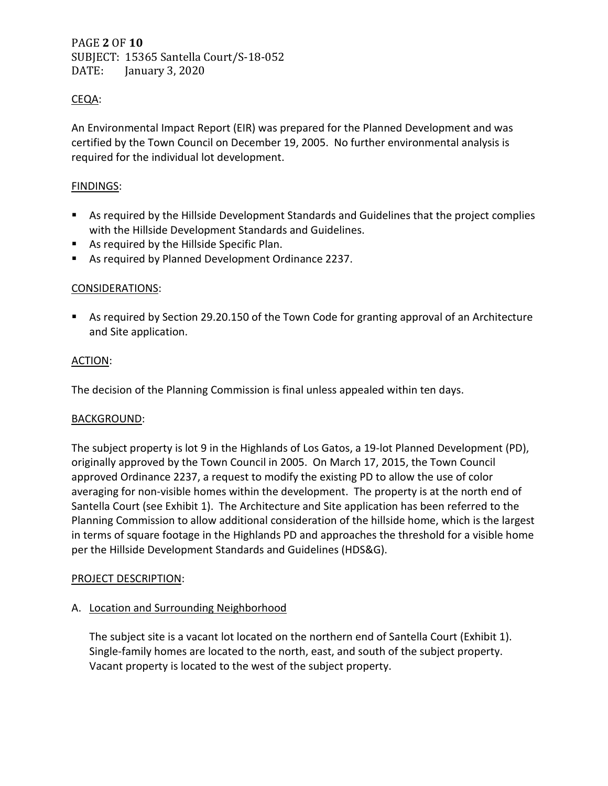PAGE **2** OF **10** SUBJECT: 15365 Santella Court/S-18-052 January 3, 2020

# CEQA:

An Environmental Impact Report (EIR) was prepared for the Planned Development and was certified by the Town Council on December 19, 2005. No further environmental analysis is required for the individual lot development.

## FINDINGS:

- As required by the Hillside Development Standards and Guidelines that the project complies with the Hillside Development Standards and Guidelines.
- **As required by the Hillside Specific Plan.**
- **As required by Planned Development Ordinance 2237.**

## CONSIDERATIONS:

 As required by Section 29.20.150 of the Town Code for granting approval of an Architecture and Site application.

### ACTION:

The decision of the Planning Commission is final unless appealed within ten days.

#### BACKGROUND:

The subject property is lot 9 in the Highlands of Los Gatos, a 19-lot Planned Development (PD), originally approved by the Town Council in 2005. On March 17, 2015, the Town Council approved Ordinance 2237, a request to modify the existing PD to allow the use of color averaging for non-visible homes within the development. The property is at the north end of Santella Court (see Exhibit 1). The Architecture and Site application has been referred to the Planning Commission to allow additional consideration of the hillside home, which is the largest in terms of square footage in the Highlands PD and approaches the threshold for a visible home per the Hillside Development Standards and Guidelines (HDS&G).

#### PROJECT DESCRIPTION:

### A. Location and Surrounding Neighborhood

The subject site is a vacant lot located on the northern end of Santella Court (Exhibit 1). Single-family homes are located to the north, east, and south of the subject property. Vacant property is located to the west of the subject property.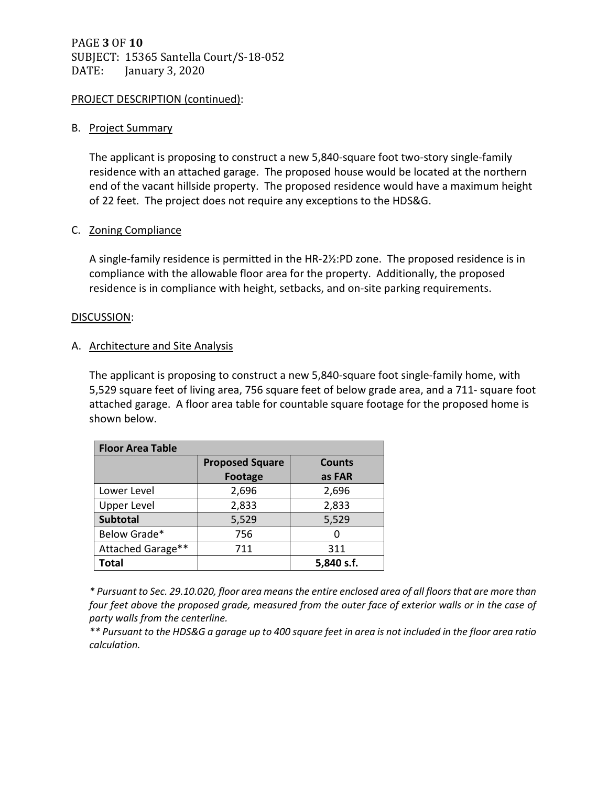# PAGE **3** OF **10** SUBJECT: 15365 Santella Court/S-18-052 DATE: January 3, 2020

## PROJECT DESCRIPTION (continued):

### B. Project Summary

The applicant is proposing to construct a new 5,840-square foot two-story single-family residence with an attached garage. The proposed house would be located at the northern end of the vacant hillside property. The proposed residence would have a maximum height of 22 feet. The project does not require any exceptions to the HDS&G.

### C. Zoning Compliance

A single-family residence is permitted in the HR-2½:PD zone. The proposed residence is in compliance with the allowable floor area for the property. Additionally, the proposed residence is in compliance with height, setbacks, and on-site parking requirements.

### DISCUSSION:

### A. Architecture and Site Analysis

The applicant is proposing to construct a new 5,840-square foot single-family home, with 5,529 square feet of living area, 756 square feet of below grade area, and a 711- square foot attached garage. A floor area table for countable square footage for the proposed home is shown below.

| <b>Floor Area Table</b> |                        |               |  |  |
|-------------------------|------------------------|---------------|--|--|
|                         | <b>Proposed Square</b> | <b>Counts</b> |  |  |
|                         | Footage                | as FAR        |  |  |
| Lower Level             | 2,696                  | 2,696         |  |  |
| <b>Upper Level</b>      | 2,833                  | 2,833         |  |  |
| <b>Subtotal</b>         | 5,529                  | 5,529         |  |  |
| Below Grade*            | 756                    | O             |  |  |
| Attached Garage**       | 711                    | 311           |  |  |
| <b>Total</b>            |                        | 5,840 s.f.    |  |  |

*\* Pursuant to Sec. 29.10.020, floor area means the entire enclosed area of all floors that are more than four feet above the proposed grade, measured from the outer face of exterior walls or in the case of party walls from the centerline.* 

*\*\* Pursuant to the HDS&G a garage up to 400 square feet in area is not included in the floor area ratio calculation.*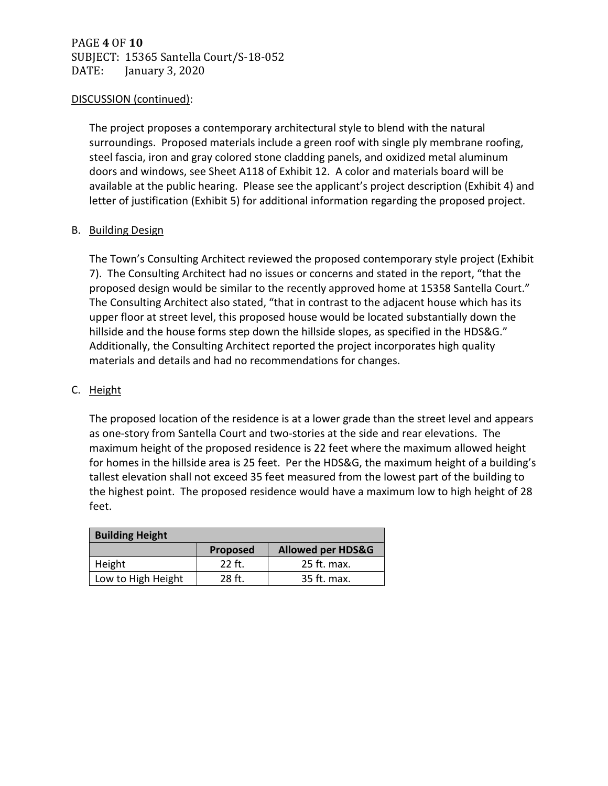# PAGE **4** OF **10** SUBJECT: 15365 Santella Court/S-18-052 January 3, 2020

### DISCUSSION (continued):

The project proposes a contemporary architectural style to blend with the natural surroundings. Proposed materials include a green roof with single ply membrane roofing, steel fascia, iron and gray colored stone cladding panels, and oxidized metal aluminum doors and windows, see Sheet A118 of Exhibit 12. A color and materials board will be available at the public hearing. Please see the applicant's project description (Exhibit 4) and letter of justification (Exhibit 5) for additional information regarding the proposed project.

### B. Building Design

The Town's Consulting Architect reviewed the proposed contemporary style project (Exhibit 7). The Consulting Architect had no issues or concerns and stated in the report, "that the proposed design would be similar to the recently approved home at 15358 Santella Court." The Consulting Architect also stated, "that in contrast to the adjacent house which has its upper floor at street level, this proposed house would be located substantially down the hillside and the house forms step down the hillside slopes, as specified in the HDS&G." Additionally, the Consulting Architect reported the project incorporates high quality materials and details and had no recommendations for changes.

## C. Height

The proposed location of the residence is at a lower grade than the street level and appears as one-story from Santella Court and two-stories at the side and rear elevations. The maximum height of the proposed residence is 22 feet where the maximum allowed height for homes in the hillside area is 25 feet. Per the HDS&G, the maximum height of a building's tallest elevation shall not exceed 35 feet measured from the lowest part of the building to the highest point. The proposed residence would have a maximum low to high height of 28 feet.

| <b>Building Height</b> |          |                              |  |  |
|------------------------|----------|------------------------------|--|--|
|                        | Proposed | <b>Allowed per HDS&amp;G</b> |  |  |
| Height                 | $22$ ft. | 25 ft. max.                  |  |  |
| Low to High Height     | 28 ft.   | 35 ft. max.                  |  |  |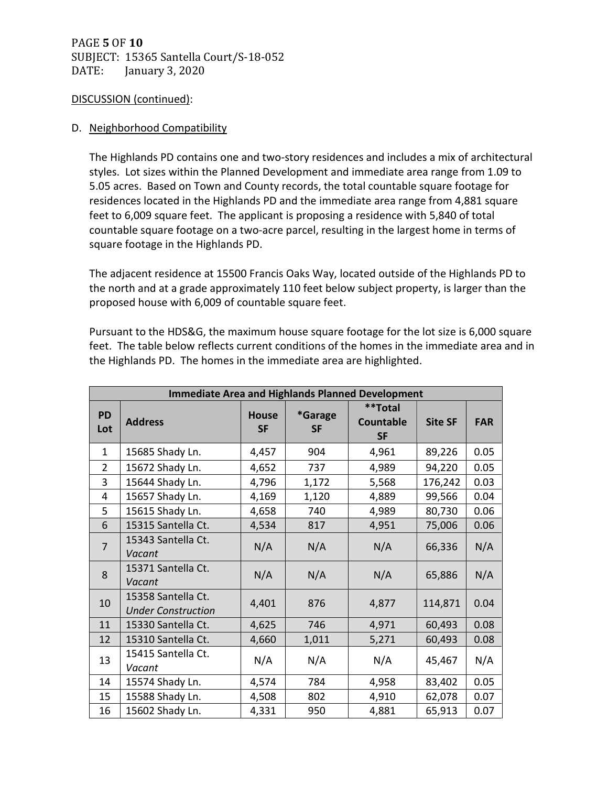# PAGE **5** OF **10** SUBJECT: 15365 Santella Court/S-18-052 January 3, 2020

### DISCUSSION (continued):

## D. Neighborhood Compatibility

The Highlands PD contains one and two-story residences and includes a mix of architectural styles. Lot sizes within the Planned Development and immediate area range from 1.09 to 5.05 acres. Based on Town and County records, the total countable square footage for residences located in the Highlands PD and the immediate area range from 4,881 square feet to 6,009 square feet. The applicant is proposing a residence with 5,840 of total countable square footage on a two-acre parcel, resulting in the largest home in terms of square footage in the Highlands PD.

The adjacent residence at 15500 Francis Oaks Way, located outside of the Highlands PD to the north and at a grade approximately 110 feet below subject property, is larger than the proposed house with 6,009 of countable square feet.

Pursuant to the HDS&G, the maximum house square footage for the lot size is 6,000 square feet. The table below reflects current conditions of the homes in the immediate area and in the Highlands PD. The homes in the immediate area are highlighted.

| <b>Immediate Area and Highlands Planned Development</b> |                                                 |                           |                      |                                          |                |            |
|---------------------------------------------------------|-------------------------------------------------|---------------------------|----------------------|------------------------------------------|----------------|------------|
| <b>PD</b><br>Lot                                        | <b>Address</b>                                  | <b>House</b><br><b>SF</b> | *Garage<br><b>SF</b> | **Total<br><b>Countable</b><br><b>SF</b> | <b>Site SF</b> | <b>FAR</b> |
| $\mathbf{1}$                                            | 15685 Shady Ln.                                 | 4,457                     | 904                  | 4,961                                    | 89,226         | 0.05       |
| $\overline{2}$                                          | 15672 Shady Ln.                                 | 4,652                     | 737                  | 4,989                                    | 94,220         | 0.05       |
| $\overline{3}$                                          | 15644 Shady Ln.                                 | 4,796                     | 1,172                | 5,568                                    | 176,242        | 0.03       |
| $\overline{4}$                                          | 15657 Shady Ln.                                 | 4,169                     | 1,120                | 4,889                                    | 99,566         | 0.04       |
| 5                                                       | 15615 Shady Ln.                                 | 4,658                     | 740                  | 4,989                                    | 80,730         | 0.06       |
| 6                                                       | 15315 Santella Ct.                              | 4,534                     | 817                  | 4,951                                    | 75,006         | 0.06       |
| $\overline{7}$                                          | 15343 Santella Ct.<br>Vacant                    | N/A                       | N/A                  | N/A                                      | 66,336         | N/A        |
| 8                                                       | 15371 Santella Ct.<br>Vacant                    | N/A                       | N/A                  | N/A                                      | 65,886         | N/A        |
| 10                                                      | 15358 Santella Ct.<br><b>Under Construction</b> | 4,401                     | 876                  | 4,877                                    | 114,871        | 0.04       |
| 11                                                      | 15330 Santella Ct.                              | 4,625                     | 746                  | 4,971                                    | 60,493         | 0.08       |
| 12                                                      | 15310 Santella Ct.                              | 4,660                     | 1,011                | 5,271                                    | 60,493         | 0.08       |
| 13                                                      | 15415 Santella Ct.<br>Vacant                    | N/A                       | N/A                  | N/A                                      | 45,467         | N/A        |
| 14                                                      | 15574 Shady Ln.                                 | 4,574                     | 784                  | 4,958                                    | 83,402         | 0.05       |
| 15                                                      | 15588 Shady Ln.                                 | 4,508                     | 802                  | 4,910                                    | 62,078         | 0.07       |
| 16                                                      | 15602 Shady Ln.                                 | 4,331                     | 950                  | 4,881                                    | 65,913         | 0.07       |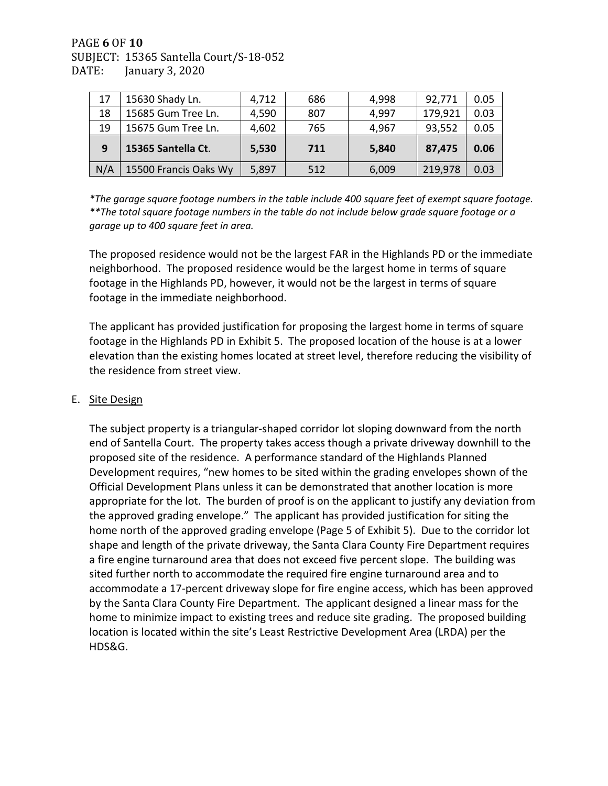# PAGE **6** OF **10** SUBJECT: 15365 Santella Court/S-18-052 January 3, 2020

| 17 | 15630 Shady Ln.    | 4,712 | 686 | 4,998 | 92,771  | 0.05 |
|----|--------------------|-------|-----|-------|---------|------|
| 18 | 15685 Gum Tree Ln. | 4,590 | 807 | 4,997 | 179,921 | 0.03 |
| 19 | 15675 Gum Tree Ln. | 4,602 | 765 | 4,967 | 93,552  | 0.05 |
|    |                    |       |     |       |         |      |
| 9  | 15365 Santella Ct. | 5,530 | 711 | 5,840 | 87,475  | 0.06 |

*\*The garage square footage numbers in the table include 400 square feet of exempt square footage. \*\*The total square footage numbers in the table do not include below grade square footage or a garage up to 400 square feet in area.* 

The proposed residence would not be the largest FAR in the Highlands PD or the immediate neighborhood. The proposed residence would be the largest home in terms of square footage in the Highlands PD, however, it would not be the largest in terms of square footage in the immediate neighborhood.

The applicant has provided justification for proposing the largest home in terms of square footage in the Highlands PD in Exhibit 5. The proposed location of the house is at a lower elevation than the existing homes located at street level, therefore reducing the visibility of the residence from street view.

## E. Site Design

The subject property is a triangular-shaped corridor lot sloping downward from the north end of Santella Court. The property takes access though a private driveway downhill to the proposed site of the residence. A performance standard of the Highlands Planned Development requires, "new homes to be sited within the grading envelopes shown of the Official Development Plans unless it can be demonstrated that another location is more appropriate for the lot. The burden of proof is on the applicant to justify any deviation from the approved grading envelope." The applicant has provided justification for siting the home north of the approved grading envelope (Page 5 of Exhibit 5). Due to the corridor lot shape and length of the private driveway, the Santa Clara County Fire Department requires a fire engine turnaround area that does not exceed five percent slope. The building was sited further north to accommodate the required fire engine turnaround area and to accommodate a 17-percent driveway slope for fire engine access, which has been approved by the Santa Clara County Fire Department. The applicant designed a linear mass for the home to minimize impact to existing trees and reduce site grading. The proposed building location is located within the site's Least Restrictive Development Area (LRDA) per the HDS&G.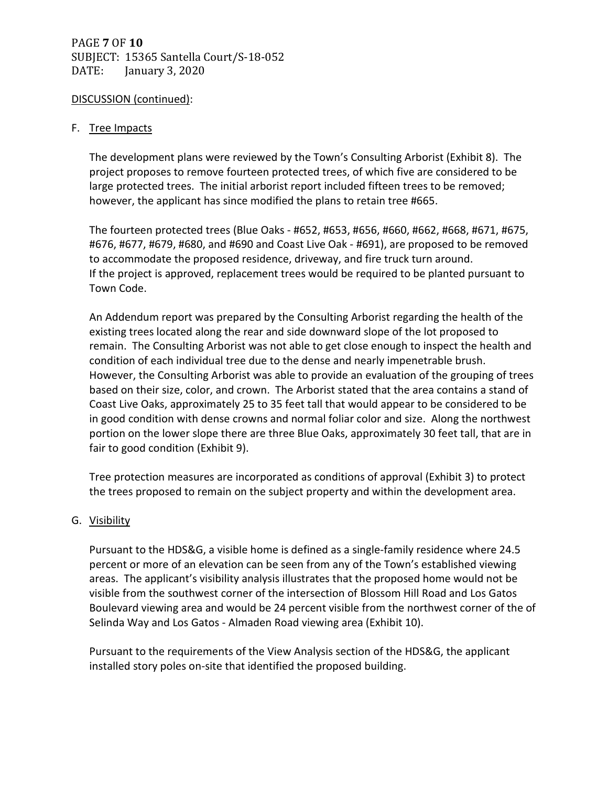# PAGE **7** OF **10** SUBJECT: 15365 Santella Court/S-18-052 DATE: January 3, 2020

## DISCUSSION (continued):

## F. Tree Impacts

The development plans were reviewed by the Town's Consulting Arborist (Exhibit 8). The project proposes to remove fourteen protected trees, of which five are considered to be large protected trees. The initial arborist report included fifteen trees to be removed; however, the applicant has since modified the plans to retain tree #665.

The fourteen protected trees (Blue Oaks - #652, #653, #656, #660, #662, #668, #671, #675, #676, #677, #679, #680, and #690 and Coast Live Oak - #691), are proposed to be removed to accommodate the proposed residence, driveway, and fire truck turn around. If the project is approved, replacement trees would be required to be planted pursuant to Town Code.

An Addendum report was prepared by the Consulting Arborist regarding the health of the existing trees located along the rear and side downward slope of the lot proposed to remain. The Consulting Arborist was not able to get close enough to inspect the health and condition of each individual tree due to the dense and nearly impenetrable brush. However, the Consulting Arborist was able to provide an evaluation of the grouping of trees based on their size, color, and crown. The Arborist stated that the area contains a stand of Coast Live Oaks, approximately 25 to 35 feet tall that would appear to be considered to be in good condition with dense crowns and normal foliar color and size. Along the northwest portion on the lower slope there are three Blue Oaks, approximately 30 feet tall, that are in fair to good condition (Exhibit 9).

Tree protection measures are incorporated as conditions of approval (Exhibit 3) to protect the trees proposed to remain on the subject property and within the development area.

## G. Visibility

Pursuant to the HDS&G, a visible home is defined as a single-family residence where 24.5 percent or more of an elevation can be seen from any of the Town's established viewing areas. The applicant's visibility analysis illustrates that the proposed home would not be visible from the southwest corner of the intersection of Blossom Hill Road and Los Gatos Boulevard viewing area and would be 24 percent visible from the northwest corner of the of Selinda Way and Los Gatos - Almaden Road viewing area (Exhibit 10).

Pursuant to the requirements of the View Analysis section of the HDS&G, the applicant installed story poles on-site that identified the proposed building.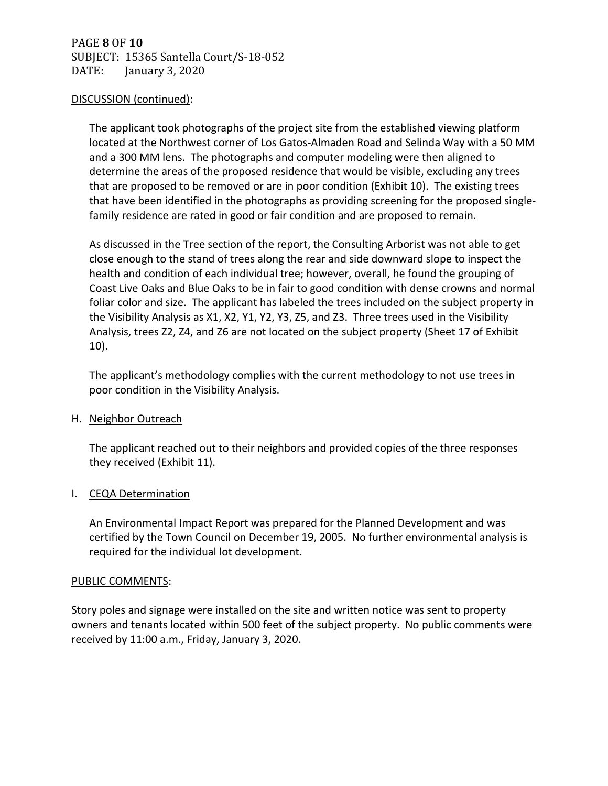PAGE **8** OF **10** SUBJECT: 15365 Santella Court/S-18-052 January 3, 2020

#### DISCUSSION (continued):

The applicant took photographs of the project site from the established viewing platform located at the Northwest corner of Los Gatos-Almaden Road and Selinda Way with a 50 MM and a 300 MM lens. The photographs and computer modeling were then aligned to determine the areas of the proposed residence that would be visible, excluding any trees that are proposed to be removed or are in poor condition (Exhibit 10). The existing trees that have been identified in the photographs as providing screening for the proposed singlefamily residence are rated in good or fair condition and are proposed to remain.

As discussed in the Tree section of the report, the Consulting Arborist was not able to get close enough to the stand of trees along the rear and side downward slope to inspect the health and condition of each individual tree; however, overall, he found the grouping of Coast Live Oaks and Blue Oaks to be in fair to good condition with dense crowns and normal foliar color and size. The applicant has labeled the trees included on the subject property in the Visibility Analysis as X1, X2, Y1, Y2, Y3, Z5, and Z3. Three trees used in the Visibility Analysis, trees Z2, Z4, and Z6 are not located on the subject property (Sheet 17 of Exhibit 10).

The applicant's methodology complies with the current methodology to not use trees in poor condition in the Visibility Analysis.

#### H. Neighbor Outreach

The applicant reached out to their neighbors and provided copies of the three responses they received (Exhibit 11).

## I. CEQA Determination

An Environmental Impact Report was prepared for the Planned Development and was certified by the Town Council on December 19, 2005. No further environmental analysis is required for the individual lot development.

#### PUBLIC COMMENTS:

Story poles and signage were installed on the site and written notice was sent to property owners and tenants located within 500 feet of the subject property. No public comments were received by 11:00 a.m., Friday, January 3, 2020.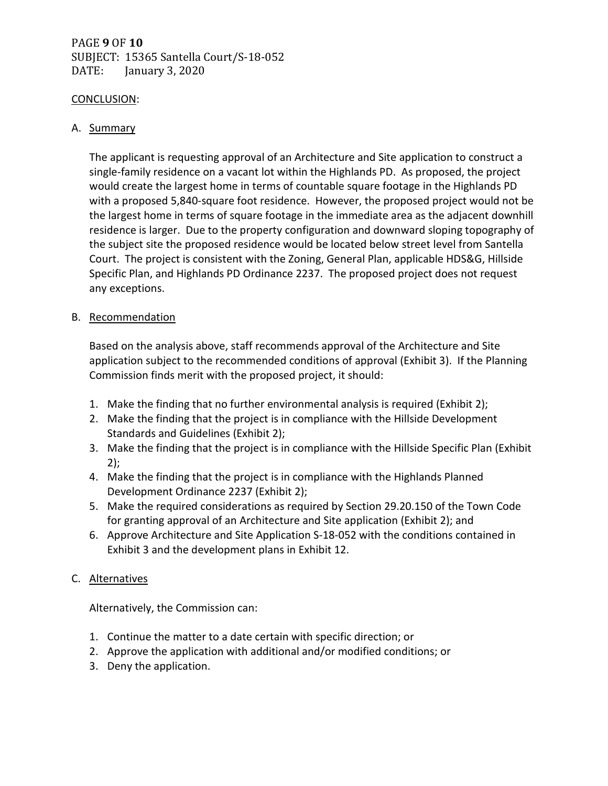# PAGE **9** OF **10** SUBJECT: 15365 Santella Court/S-18-052 DATE: January 3, 2020

#### CONCLUSION:

## A. Summary

The applicant is requesting approval of an Architecture and Site application to construct a single-family residence on a vacant lot within the Highlands PD. As proposed, the project would create the largest home in terms of countable square footage in the Highlands PD with a proposed 5,840-square foot residence. However, the proposed project would not be the largest home in terms of square footage in the immediate area as the adjacent downhill residence is larger. Due to the property configuration and downward sloping topography of the subject site the proposed residence would be located below street level from Santella Court. The project is consistent with the Zoning, General Plan, applicable HDS&G, Hillside Specific Plan, and Highlands PD Ordinance 2237. The proposed project does not request any exceptions.

## B. Recommendation

Based on the analysis above, staff recommends approval of the Architecture and Site application subject to the recommended conditions of approval (Exhibit 3). If the Planning Commission finds merit with the proposed project, it should:

- 1. Make the finding that no further environmental analysis is required (Exhibit 2);
- 2. Make the finding that the project is in compliance with the Hillside Development Standards and Guidelines (Exhibit 2);
- 3. Make the finding that the project is in compliance with the Hillside Specific Plan (Exhibit 2);
- 4. Make the finding that the project is in compliance with the Highlands Planned Development Ordinance 2237 (Exhibit 2);
- 5. Make the required considerations as required by Section 29.20.150 of the Town Code for granting approval of an Architecture and Site application (Exhibit 2); and
- 6. Approve Architecture and Site Application S-18-052 with the conditions contained in Exhibit 3 and the development plans in Exhibit 12.

## C. Alternatives

Alternatively, the Commission can:

- 1. Continue the matter to a date certain with specific direction; or
- 2. Approve the application with additional and/or modified conditions; or
- 3. Deny the application.